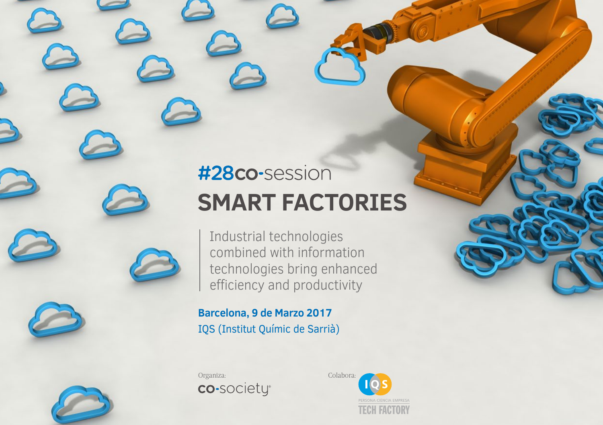# #28co-session **SMART FACTORIES**

Industrial technologies combined with information technologies bring enhanced efficiency and productivity

**Barcelona, 9 de Marzo 2017** IQS (Institut Químic de Sarrià)



Organiza: Colabora: co-society®

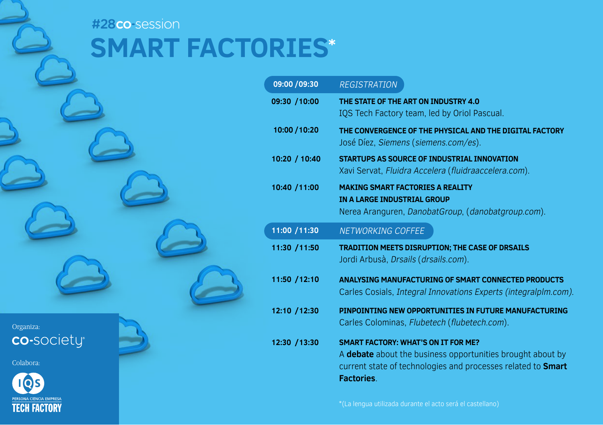# #28co-session **SMART FACTORIES\***

Colabora:

105

PERSONA CIENCIA EMPRESA

organiza:<br> **CO**-SOCIEty®

| 09:00 /09:30  | <b>REGISTRATION</b>                                                                                                                                                                                        |
|---------------|------------------------------------------------------------------------------------------------------------------------------------------------------------------------------------------------------------|
| 09:30 /10:00  | THE STATE OF THE ART ON INDUSTRY 4.0<br>IQS Tech Factory team, led by Oriol Pascual.                                                                                                                       |
| 10:00 / 10:20 | THE CONVERGENCE OF THE PHYSICAL AND THE DIGITAL FACTORY<br>José Díez, Siemens (siemens.com/es).                                                                                                            |
| 10:20 / 10:40 | STARTUPS AS SOURCE OF INDUSTRIAL INNOVATION<br>Xavi Servat, Fluidra Accelera (fluidraaccelera.com).                                                                                                        |
| 10:40 /11:00  | <b>MAKING SMART FACTORIES A REALITY</b><br><b>IN A LARGE INDUSTRIAL GROUP</b><br>Nerea Aranguren, DanobatGroup, (danobatgroup.com).                                                                        |
| 11:00 /11:30  | <b>NETWORKING COFFEE</b>                                                                                                                                                                                   |
| 11:30 /11:50  | TRADITION MEETS DISRUPTION; THE CASE OF DRSAILS<br>Jordi Arbusà, Drsails (drsails.com).                                                                                                                    |
| 11:50 /12:10  | <b>ANALYSING MANUFACTURING OF SMART CONNECTED PRODUCTS</b><br>Carles Cosials, Integral Innovations Experts (integralplm.com).                                                                              |
| 12:10 /12:30  | PINPOINTING NEW OPPORTUNITIES IN FUTURE MANUFACTURING<br>Carles Colominas, Flubetech (flubetech.com).                                                                                                      |
| 12:30 /13:30  | <b>SMART FACTORY: WHAT'S ON IT FOR ME?</b><br>A <b>debate</b> about the business opportunities brought about by<br>current state of technologies and processes related to <b>Smart</b><br><b>Factories</b> |

\*(La lengua utilizada durante el acto será el castellano)